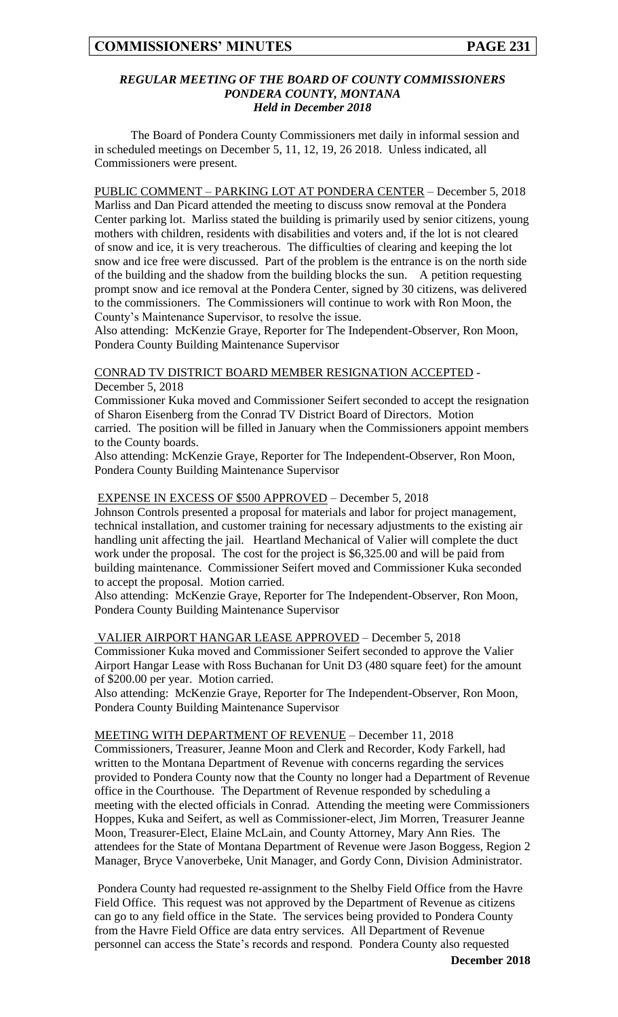#### *REGULAR MEETING OF THE BOARD OF COUNTY COMMISSIONERS PONDERA COUNTY, MONTANA Held in December 2018*

The Board of Pondera County Commissioners met daily in informal session and in scheduled meetings on December 5, 11, 12, 19, 26 2018. Unless indicated, all Commissioners were present.

PUBLIC COMMENT – PARKING LOT AT PONDERA CENTER – December 5, 2018 Marliss and Dan Picard attended the meeting to discuss snow removal at the Pondera Center parking lot. Marliss stated the building is primarily used by senior citizens, young mothers with children, residents with disabilities and voters and, if the lot is not cleared of snow and ice, it is very treacherous. The difficulties of clearing and keeping the lot snow and ice free were discussed. Part of the problem is the entrance is on the north side of the building and the shadow from the building blocks the sun. A petition requesting prompt snow and ice removal at the Pondera Center, signed by 30 citizens, was delivered to the commissioners. The Commissioners will continue to work with Ron Moon, the County's Maintenance Supervisor, to resolve the issue.

Also attending: McKenzie Graye, Reporter for The Independent-Observer, Ron Moon, Pondera County Building Maintenance Supervisor

## CONRAD TV DISTRICT BOARD MEMBER RESIGNATION ACCEPTED - December 5, 2018

Commissioner Kuka moved and Commissioner Seifert seconded to accept the resignation of Sharon Eisenberg from the Conrad TV District Board of Directors. Motion carried. The position will be filled in January when the Commissioners appoint members to the County boards.

Also attending: McKenzie Graye, Reporter for The Independent-Observer, Ron Moon, Pondera County Building Maintenance Supervisor

# EXPENSE IN EXCESS OF \$500 APPROVED – December 5, 2018

Johnson Controls presented a proposal for materials and labor for project management, technical installation, and customer training for necessary adjustments to the existing air handling unit affecting the jail. Heartland Mechanical of Valier will complete the duct work under the proposal. The cost for the project is \$6,325.00 and will be paid from building maintenance. Commissioner Seifert moved and Commissioner Kuka seconded to accept the proposal. Motion carried.

Also attending: McKenzie Graye, Reporter for The Independent-Observer, Ron Moon, Pondera County Building Maintenance Supervisor

### VALIER AIRPORT HANGAR LEASE APPROVED – December 5, 2018 Commissioner Kuka moved and Commissioner Seifert seconded to approve the Valier Airport Hangar Lease with Ross Buchanan for Unit D3 (480 square feet) for the amount of \$200.00 per year. Motion carried.

Also attending: McKenzie Graye, Reporter for The Independent-Observer, Ron Moon, Pondera County Building Maintenance Supervisor

## MEETING WITH DEPARTMENT OF REVENUE – December 11, 2018

Commissioners, Treasurer, Jeanne Moon and Clerk and Recorder, Kody Farkell, had written to the Montana Department of Revenue with concerns regarding the services provided to Pondera County now that the County no longer had a Department of Revenue office in the Courthouse. The Department of Revenue responded by scheduling a meeting with the elected officials in Conrad. Attending the meeting were Commissioners Hoppes, Kuka and Seifert, as well as Commissioner-elect, Jim Morren, Treasurer Jeanne Moon, Treasurer-Elect, Elaine McLain, and County Attorney, Mary Ann Ries. The attendees for the State of Montana Department of Revenue were Jason Boggess, Region 2 Manager, Bryce Vanoverbeke, Unit Manager, and Gordy Conn, Division Administrator.

Pondera County had requested re-assignment to the Shelby Field Office from the Havre Field Office. This request was not approved by the Department of Revenue as citizens can go to any field office in the State. The services being provided to Pondera County from the Havre Field Office are data entry services. All Department of Revenue personnel can access the State's records and respond. Pondera County also requested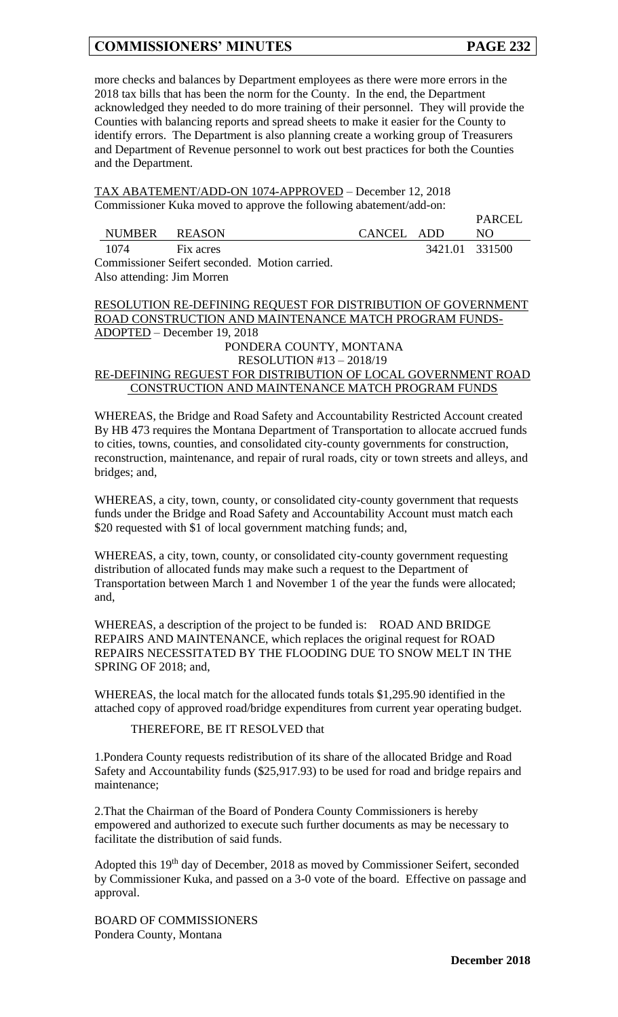**PARCEL** 

more checks and balances by Department employees as there were more errors in the 2018 tax bills that has been the norm for the County. In the end, the Department acknowledged they needed to do more training of their personnel. They will provide the Counties with balancing reports and spread sheets to make it easier for the County to identify errors. The Department is also planning create a working group of Treasurers and Department of Revenue personnel to work out best practices for both the Counties and the Department.

TAX ABATEMENT/ADD-ON 1074-APPROVED – December 12, 2018 Commissioner Kuka moved to approve the following abatement/add-on:

|               |                                                |            |                | <b>FANCEL</b> |
|---------------|------------------------------------------------|------------|----------------|---------------|
| NUMBER REASON |                                                | CANCEL ADD |                | NO.           |
| 1074          | Fix acres                                      |            | 3421.01 331500 |               |
|               | Commissioner Seifert seconded. Motion carried. |            |                |               |

Also attending: Jim Morren

RESOLUTION RE-DEFINING REQUEST FOR DISTRIBUTION OF GOVERNMENT ROAD CONSTRUCTION AND MAINTENANCE MATCH PROGRAM FUNDS-ADOPTED – December 19, 2018 PONDERA COUNTY, MONTANA

# RESOLUTION #13 – 2018/19 RE-DEFINING REGUEST FOR DISTRIBUTION OF LOCAL GOVERNMENT ROAD CONSTRUCTION AND MAINTENANCE MATCH PROGRAM FUNDS

WHEREAS, the Bridge and Road Safety and Accountability Restricted Account created By HB 473 requires the Montana Department of Transportation to allocate accrued funds to cities, towns, counties, and consolidated city-county governments for construction, reconstruction, maintenance, and repair of rural roads, city or town streets and alleys, and bridges; and,

WHEREAS, a city, town, county, or consolidated city-county government that requests funds under the Bridge and Road Safety and Accountability Account must match each \$20 requested with \$1 of local government matching funds; and,

WHEREAS, a city, town, county, or consolidated city-county government requesting distribution of allocated funds may make such a request to the Department of Transportation between March 1 and November 1 of the year the funds were allocated; and,

WHEREAS, a description of the project to be funded is: ROAD AND BRIDGE REPAIRS AND MAINTENANCE, which replaces the original request for ROAD REPAIRS NECESSITATED BY THE FLOODING DUE TO SNOW MELT IN THE SPRING OF 2018; and,

WHEREAS, the local match for the allocated funds totals \$1,295.90 identified in the attached copy of approved road/bridge expenditures from current year operating budget.

THEREFORE, BE IT RESOLVED that

1.Pondera County requests redistribution of its share of the allocated Bridge and Road Safety and Accountability funds (\$25,917.93) to be used for road and bridge repairs and maintenance;

2.That the Chairman of the Board of Pondera County Commissioners is hereby empowered and authorized to execute such further documents as may be necessary to facilitate the distribution of said funds.

Adopted this 19<sup>th</sup> day of December, 2018 as moved by Commissioner Seifert, seconded by Commissioner Kuka, and passed on a 3-0 vote of the board. Effective on passage and approval.

BOARD OF COMMISSIONERS Pondera County, Montana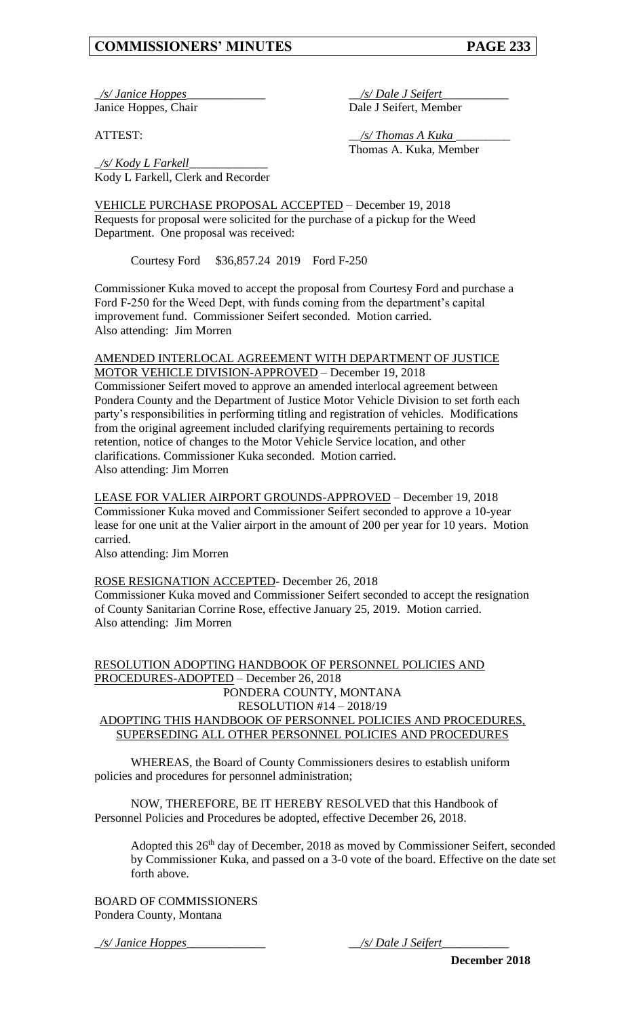\_*/s/ Janice Hoppes*\_\_\_\_\_\_\_\_\_\_\_\_\_ \_\_*/s/ Dale J Seifert*\_\_\_\_\_\_\_\_\_\_\_

Janice Hoppes, Chair Dale J Seifert, Member

ATTEST: \_\_*/s/ Thomas A Kuka* \_\_\_\_\_\_\_\_\_ Thomas A. Kuka, Member

\_*/s/ Kody L Farkell*\_\_\_\_\_\_\_\_\_\_\_\_\_ Kody L Farkell, Clerk and Recorder

VEHICLE PURCHASE PROPOSAL ACCEPTED – December 19, 2018 Requests for proposal were solicited for the purchase of a pickup for the Weed Department. One proposal was received:

Courtesy Ford \$36,857.24 2019 Ford F-250

Commissioner Kuka moved to accept the proposal from Courtesy Ford and purchase a Ford F-250 for the Weed Dept, with funds coming from the department's capital improvement fund. Commissioner Seifert seconded. Motion carried. Also attending: Jim Morren

#### AMENDED INTERLOCAL AGREEMENT WITH DEPARTMENT OF JUSTICE MOTOR VEHICLE DIVISION-APPROVED – December 19, 2018

Commissioner Seifert moved to approve an amended interlocal agreement between Pondera County and the Department of Justice Motor Vehicle Division to set forth each party's responsibilities in performing titling and registration of vehicles. Modifications from the original agreement included clarifying requirements pertaining to records retention, notice of changes to the Motor Vehicle Service location, and other clarifications. Commissioner Kuka seconded. Motion carried. Also attending: Jim Morren

LEASE FOR VALIER AIRPORT GROUNDS-APPROVED – December 19, 2018 Commissioner Kuka moved and Commissioner Seifert seconded to approve a 10-year lease for one unit at the Valier airport in the amount of 200 per year for 10 years. Motion carried.

Also attending: Jim Morren

ROSE RESIGNATION ACCEPTED- December 26, 2018 Commissioner Kuka moved and Commissioner Seifert seconded to accept the resignation of County Sanitarian Corrine Rose, effective January 25, 2019. Motion carried.

Also attending: Jim Morren

## RESOLUTION ADOPTING HANDBOOK OF PERSONNEL POLICIES AND PROCEDURES-ADOPTED – December 26, 2018 PONDERA COUNTY, MONTANA RESOLUTION #14 – 2018/19 ADOPTING THIS HANDBOOK OF PERSONNEL POLICIES AND PROCEDURES, SUPERSEDING ALL OTHER PERSONNEL POLICIES AND PROCEDURES

WHEREAS, the Board of County Commissioners desires to establish uniform policies and procedures for personnel administration;

NOW, THEREFORE, BE IT HEREBY RESOLVED that this Handbook of Personnel Policies and Procedures be adopted, effective December 26, 2018.

Adopted this 26th day of December, 2018 as moved by Commissioner Seifert, seconded by Commissioner Kuka, and passed on a 3-0 vote of the board. Effective on the date set forth above.

BOARD OF COMMISSIONERS Pondera County, Montana

\_*/s/ Janice Hoppes*\_\_\_\_\_\_\_\_\_\_\_\_\_ \_\_*/s/ Dale J Seifert*\_\_\_\_\_\_\_\_\_\_\_

**December 2018**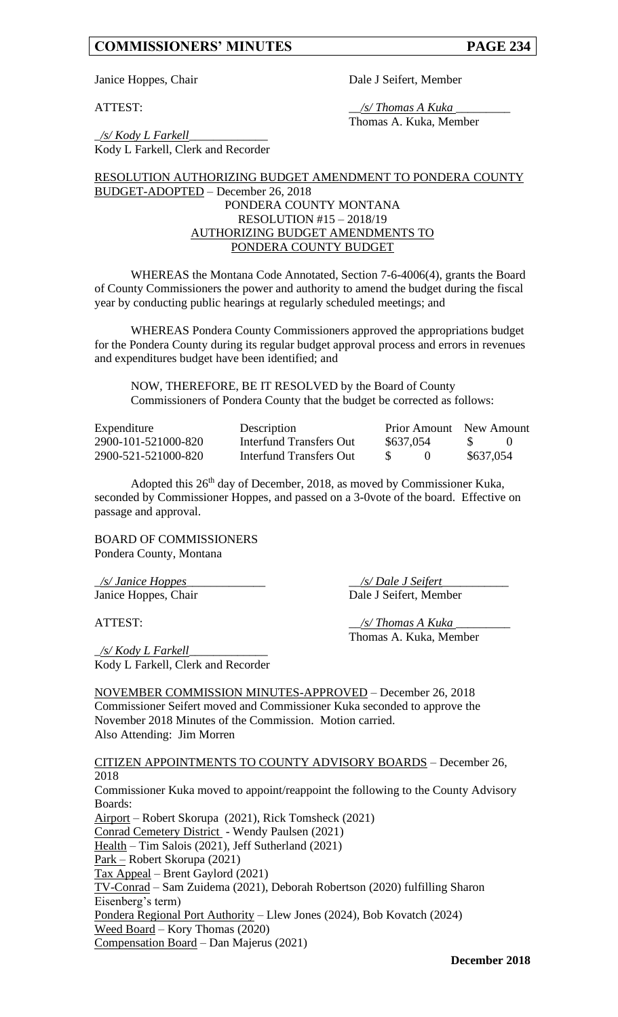Janice Hoppes, Chair Dale J Seifert, Member

ATTEST: \_\_*/s/ Thomas A Kuka* \_\_\_\_\_\_\_\_\_ Thomas A. Kuka, Member

\_*/s/ Kody L Farkell*\_\_\_\_\_\_\_\_\_\_\_\_\_ Kody L Farkell, Clerk and Recorder

RESOLUTION AUTHORIZING BUDGET AMENDMENT TO PONDERA COUNTY BUDGET-ADOPTED – December 26, 2018 PONDERA COUNTY MONTANA RESOLUTION #15 – 2018/19 AUTHORIZING BUDGET AMENDMENTS TO PONDERA COUNTY BUDGET

WHEREAS the Montana Code Annotated, Section 7-6-4006(4), grants the Board of County Commissioners the power and authority to amend the budget during the fiscal year by conducting public hearings at regularly scheduled meetings; and

WHEREAS Pondera County Commissioners approved the appropriations budget for the Pondera County during its regular budget approval process and errors in revenues and expenditures budget have been identified; and

NOW, THEREFORE, BE IT RESOLVED by the Board of County Commissioners of Pondera County that the budget be corrected as follows:

| Expenditure         | Description             |           | <b>Prior Amount</b> New Amount |           |  |
|---------------------|-------------------------|-----------|--------------------------------|-----------|--|
| 2900-101-521000-820 | Interfund Transfers Out | \$637,054 |                                | - SS      |  |
| 2900-521-521000-820 | Interfund Transfers Out |           |                                | \$637,054 |  |

Adopted this 26th day of December, 2018, as moved by Commissioner Kuka, seconded by Commissioner Hoppes, and passed on a 3-0vote of the board. Effective on passage and approval.

BOARD OF COMMISSIONERS Pondera County, Montana

\_*/s/ Janice Hoppes*\_\_\_\_\_\_\_\_\_\_\_\_\_ \_\_*/s/ Dale J Seifert*\_\_\_\_\_\_\_\_\_\_\_ Janice Hoppes, Chair Dale J Seifert, Member

\_*/s/ Kody L Farkell*\_\_\_\_\_\_\_\_\_\_\_\_\_ Kody L Farkell, Clerk and Recorder

ATTEST: \_\_*/s/ Thomas A Kuka* \_\_\_\_\_\_\_\_\_ Thomas A. Kuka, Member

NOVEMBER COMMISSION MINUTES-APPROVED – December 26, 2018 Commissioner Seifert moved and Commissioner Kuka seconded to approve the November 2018 Minutes of the Commission. Motion carried. Also Attending: Jim Morren

CITIZEN APPOINTMENTS TO COUNTY ADVISORY BOARDS – December 26, 2018 Commissioner Kuka moved to appoint/reappoint the following to the County Advisory Boards: Airport – Robert Skorupa (2021), Rick Tomsheck (2021) Conrad Cemetery District - Wendy Paulsen (2021) Health – Tim Salois (2021), Jeff Sutherland (2021) Park – Robert Skorupa (2021) Tax Appeal – Brent Gaylord (2021) TV-Conrad – Sam Zuidema (2021), Deborah Robertson (2020) fulfilling Sharon Eisenberg's term) Pondera Regional Port Authority – Llew Jones (2024), Bob Kovatch (2024) Weed Board – Kory Thomas (2020) Compensation Board – Dan Majerus (2021)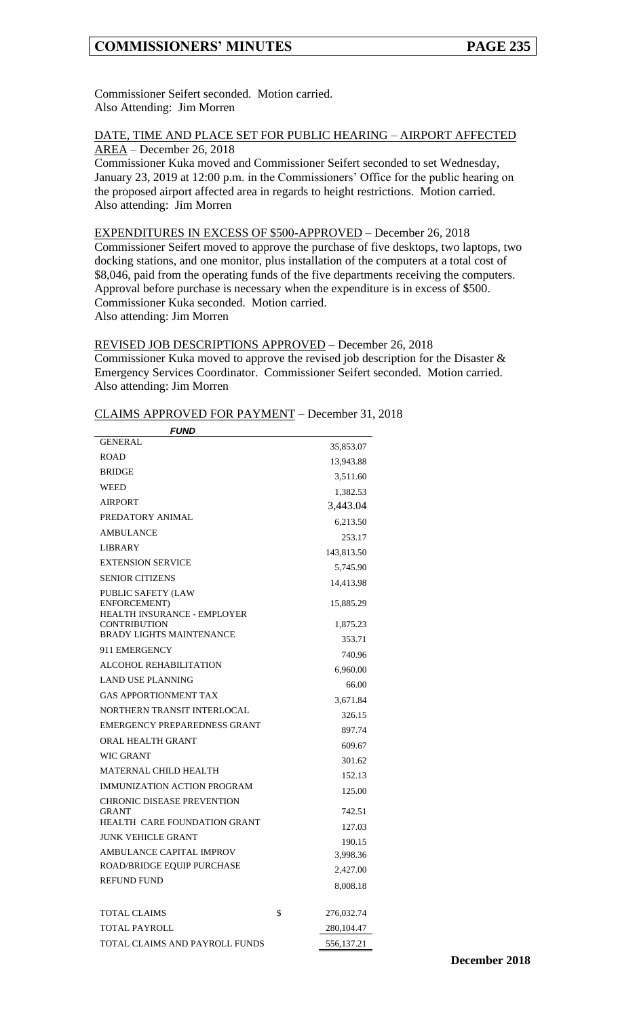Commissioner Seifert seconded. Motion carried. Also Attending: Jim Morren

#### DATE, TIME AND PLACE SET FOR PUBLIC HEARING – AIRPORT AFFECTED AREA – December 26, 2018

Commissioner Kuka moved and Commissioner Seifert seconded to set Wednesday, January 23, 2019 at 12:00 p.m. in the Commissioners' Office for the public hearing on the proposed airport affected area in regards to height restrictions. Motion carried. Also attending: Jim Morren

#### EXPENDITURES IN EXCESS OF \$500-APPROVED – December 26, 2018

Commissioner Seifert moved to approve the purchase of five desktops, two laptops, two docking stations, and one monitor, plus installation of the computers at a total cost of \$8,046, paid from the operating funds of the five departments receiving the computers. Approval before purchase is necessary when the expenditure is in excess of \$500. Commissioner Kuka seconded. Motion carried. Also attending: Jim Morren

REVISED JOB DESCRIPTIONS APPROVED – December 26, 2018 Commissioner Kuka moved to approve the revised job description for the Disaster & Emergency Services Coordinator. Commissioner Seifert seconded. Motion carried. Also attending: Jim Morren

CLAIMS APPROVED FOR PAYMENT – December 31, 2018

| <b>FUND</b>                                        |    |                    |  |  |  |
|----------------------------------------------------|----|--------------------|--|--|--|
| <b>GENERAL</b>                                     |    | 35,853.07          |  |  |  |
| <b>ROAD</b>                                        |    | 13,943.88          |  |  |  |
| <b>BRIDGE</b>                                      |    | 3,511.60           |  |  |  |
| WEED                                               |    | 1,382.53           |  |  |  |
| <b>AIRPORT</b>                                     |    | 3,443.04           |  |  |  |
| PREDATORY ANIMAL                                   |    | 6,213.50           |  |  |  |
| <b>AMBULANCE</b>                                   |    | 253.17             |  |  |  |
| LIBRARY                                            |    | 143,813.50         |  |  |  |
| <b>EXTENSION SERVICE</b>                           |    | 5,745.90           |  |  |  |
| <b>SENIOR CITIZENS</b>                             |    | 14,413.98          |  |  |  |
| <b>PUBLIC SAFETY (LAW</b><br>ENFORCEMENT)          |    | 15,885.29          |  |  |  |
| HEALTH INSURANCE - EMPLOYER<br><b>CONTRIBUTION</b> |    | 1,875.23           |  |  |  |
| <b>BRADY LIGHTS MAINTENANCE</b>                    |    | 353.71             |  |  |  |
| 911 EMERGENCY                                      |    | 740.96             |  |  |  |
| ALCOHOL REHABILITATION                             |    | 6,960.00           |  |  |  |
| <b>LAND USE PLANNING</b>                           |    | 66.00              |  |  |  |
| <b>GAS APPORTIONMENT TAX</b>                       |    | 3,671.84           |  |  |  |
| NORTHERN TRANSIT INTERLOCAL                        |    | 326.15             |  |  |  |
| EMERGENCY PREPAREDNESS GRANT                       |    | 897.74             |  |  |  |
| ORAL HEALTH GRANT                                  |    | 609.67             |  |  |  |
| <b>WIC GRANT</b>                                   |    | 301.62             |  |  |  |
| <b>MATERNAL CHILD HEALTH</b>                       |    | 152.13             |  |  |  |
| <b>IMMUNIZATION ACTION PROGRAM</b>                 |    | 125.00             |  |  |  |
| <b>CHRONIC DISEASE PREVENTION</b><br><b>GRANT</b>  |    | 742.51             |  |  |  |
| <b>HEALTH CARE FOUNDATION GRANT</b>                |    | 127.03             |  |  |  |
| JUNK VEHICLE GRANT                                 |    |                    |  |  |  |
| AMBULANCE CAPITAL IMPROV                           |    | 190.15<br>3,998.36 |  |  |  |
| ROAD/BRIDGE EQUIP PURCHASE                         |    | 2,427.00           |  |  |  |
| REFUND FUND                                        |    |                    |  |  |  |
|                                                    |    | 8,008.18           |  |  |  |
| TOTAL CLAIMS                                       | \$ | 276,032.74         |  |  |  |
| TOTAL PAYROLL                                      |    | 280,104.47         |  |  |  |
| TOTAL CLAIMS AND PAYROLL FUNDS                     |    | 556,137.21         |  |  |  |